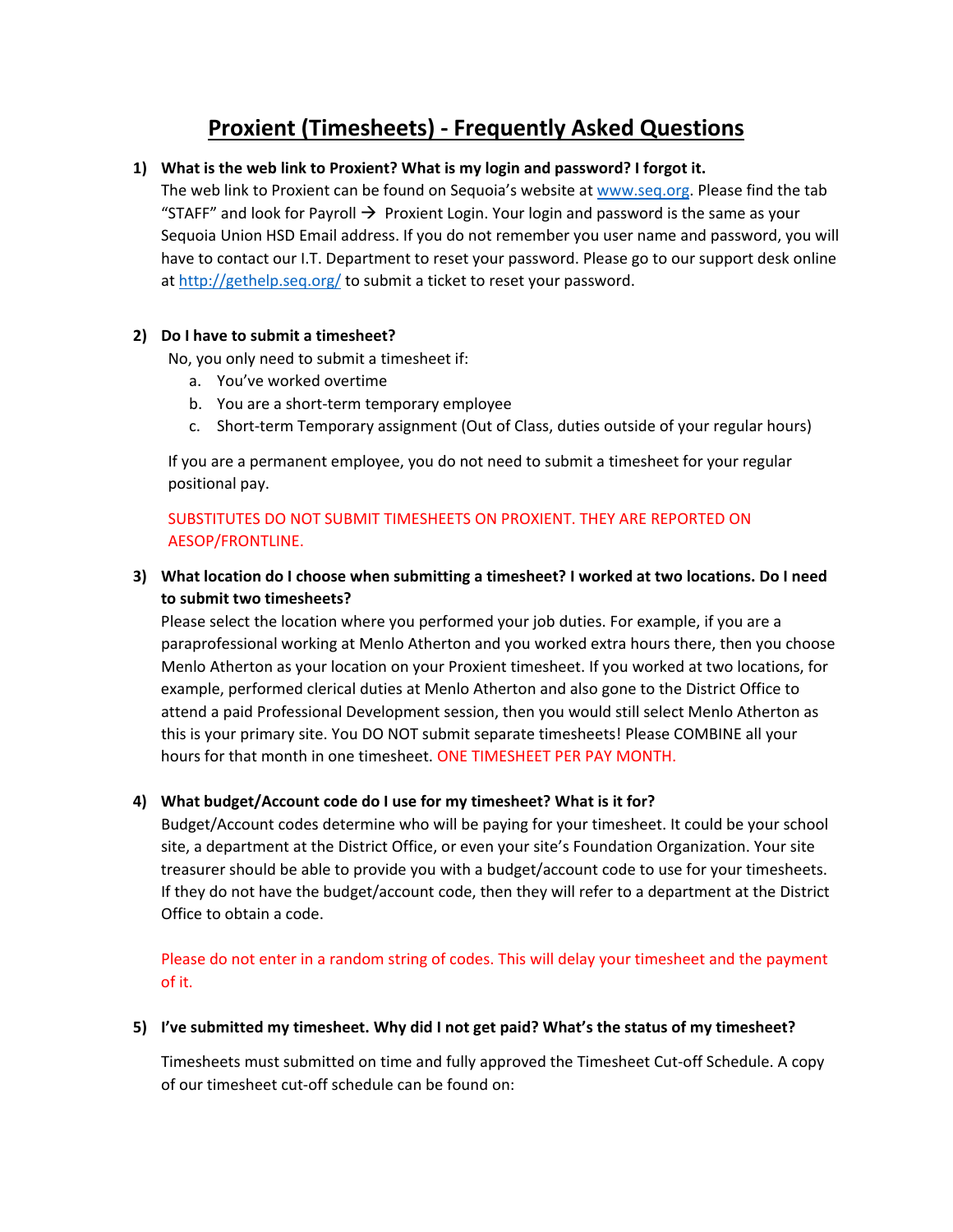# **Proxient (Timesheets) ‐ Frequently Asked Questions**

## **1) What is the web link to Proxient? What is my login and password? I forgot it.**

The web link to Proxient can be found on Sequoia's website at www.seq.org. Please find the tab "STAFF" and look for Payroll  $\rightarrow$  Proxient Login. Your login and password is the same as your Sequoia Union HSD Email address. If you do not remember you user name and password, you will have to contact our I.T. Department to reset your password. Please go to our support desk online at http://gethelp.seq.org/ to submit a ticket to reset your password.

### **2) Do I have to submit a timesheet?**

No, you only need to submit a timesheet if:

- a. You've worked overtime
- b. You are a short-term temporary employee
- c. Short-term Temporary assignment (Out of Class, duties outside of your regular hours)

If you are a permanent employee, you do not need to submit a timesheet for your regular positional pay.

## SUBSTITUTES DO NOT SUBMIT TIMESHEETS ON PROXIENT. THEY ARE REPORTED ON AESOP/FRONTLINE.

# **3) What location do I choose when submitting a timesheet? I worked at two locations. Do I need to submit two timesheets?**

Please select the location where you performed your job duties. For example, if you are a paraprofessional working at Menlo Atherton and you worked extra hours there, then you choose Menlo Atherton as your location on your Proxient timesheet. If you worked at two locations, for example, performed clerical duties at Menlo Atherton and also gone to the District Office to attend a paid Professional Development session, then you would still select Menlo Atherton as this is your primary site. You DO NOT submit separate timesheets! Please COMBINE all your hours for that month in one timesheet. ONE TIMESHEET PER PAY MONTH.

## **4) What budget/Account code do I use for my timesheet? What is it for?**

Budget/Account codes determine who will be paying for your timesheet. It could be your school site, a department at the District Office, or even your site's Foundation Organization. Your site treasurer should be able to provide you with a budget/account code to use for your timesheets. If they do not have the budget/account code, then they will refer to a department at the District Office to obtain a code.

Please do not enter in a random string of codes. This will delay your timesheet and the payment of it.

### **5) I've submitted my timesheet. Why did I not get paid? What's the status of my timesheet?**

Timesheets must submitted on time and fully approved the Timesheet Cut‐off Schedule. A copy of our timesheet cut‐off schedule can be found on: